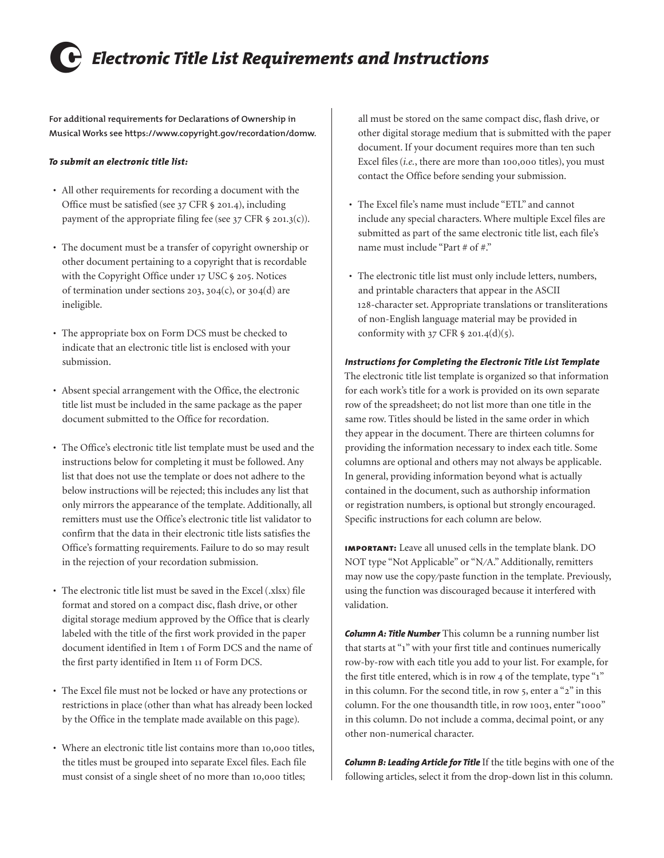## 6 *Electronic Title List Requirements and Instructions*

**For additional requirements for Declarations of Ownership in Musical Works see [https://www.copyright.gov/recordation/domw.](https://www.copyright.gov/recordation/domw)**

## *To submit an electronic title list:*

- All other requirements for recording a document with the Office must be satisfied (see [37 CFR § 201.4](https://www.copyright.gov/title37/201/37cfr201-4.html)), including payment of the appropriate filing fee (see [37 CFR § 201.3\(c\)\)](https://www.copyright.gov/title37/201/37cfr201-3.html).
- The document must be a transfer of copyright ownership or other document pertaining to a copyright that is recordable with the Copyright Office under [17 USC § 205.](https://www.copyright.gov/title17/92chap2.html#205) Notices of termination under sections [203](https://www.copyright.gov/title17/92chap2.html#203), [304\(c\)](https://www.copyright.gov/title17/92chap3.html#304), or [304\(d\)](https://www.copyright.gov/title17/92chap3.html#304) are ineligible.
- The appropriate box on Form DCS must be checked to indicate that an electronic title list is enclosed with your submission.
- Absent special arrangement with the Office, the electronic title list must be included in the same package as the paper document submitted to the Office for recordation.
- The Office's [electronic title list template](https://www.copyright.gov/recordation/etl/etl-template.xlsx) must be used and the instructions below for completing it must be followed. Any list that does not use the template or does not adhere to the below instructions will be rejected; this includes any list that only mirrors the appearance of the template. Additionally, all remitters must use the Office's [electronic title list validator](https://www.copyright.gov/recordation/etl/validator/) to confirm that the data in their electronic title lists satisfies the Office's formatting requirements. Failure to do so may result in the rejection of your recordation submission.
- The electronic title list must be saved in the Excel (.xlsx) file format and stored on a compact disc, flash drive, or other digital storage medium approved by the Office that is clearly labeled with the title of the first work provided in the paper document identified in Item 1 of Form DCS and the name of the first party identified in Item 11 of Form DCS.
- The Excel file must not be locked or have any protections or restrictions in place (other than what has already been locked by the Office in the template made available on this page).
- Where an electronic title list contains more than 10,000 titles, the titles must be grouped into separate Excel files. Each file must consist of a single sheet of no more than 10,000 titles;

all must be stored on the same compact disc, flash drive, or other digital storage medium that is submitted with the paper document. If your document requires more than ten such Excel files (*i.e.*, there are more than 100,000 titles), you must contact the Office before sending your submission.

- The Excel file's name must include "ETL" and cannot include any special characters. Where multiple Excel files are submitted as part of the same electronic title list, each file's name must include "Part # of #."
- The electronic title list must only include letters, numbers, and printable characters that appear in the ASCII 128-character set. Appropriate translations or transliterations of non-English language material may be provided in conformity with  $37$  CFR  $\frac{6}{9}$  201.4(d)(5).

## *Instructions for Completing the Electronic Title List Template*

The [electronic title list template](https://www.copyright.gov/recordation/etl/etl-template.xlsx) is organized so that information for each work's title for a work is provided on its own separate row of the spreadsheet; do not list more than one title in the same row. Titles should be listed in the same order in which they appear in the document. There are thirteen columns for providing the information necessary to index each title. Some columns are optional and others may not always be applicable. In general, providing information beyond what is actually contained in the document, such as authorship information or registration numbers, is optional but strongly encouraged. Specific instructions for each column are below.

**important:** Leave all unused cells in the template blank. DO NOT type "Not Applicable" or "N/A." Additionally, remitters may now use the copy/paste function in the template. Previously, using the function was discouraged because it interfered with validation.

*Column A: Title Number* This column be a running number list that starts at "1" with your first title and continues numerically row-by-row with each title you add to your list. For example, for the first title entered, which is in row 4 of the template, type "1" in this column. For the second title, in row 5, enter a "2" in this column. For the one thousandth title, in row 1003, enter "1000" in this column. Do not include a comma, decimal point, or any other non-numerical character.

*Column B: Leading Article for Title* If the title begins with one of the following articles, select it from the drop-down list in this column.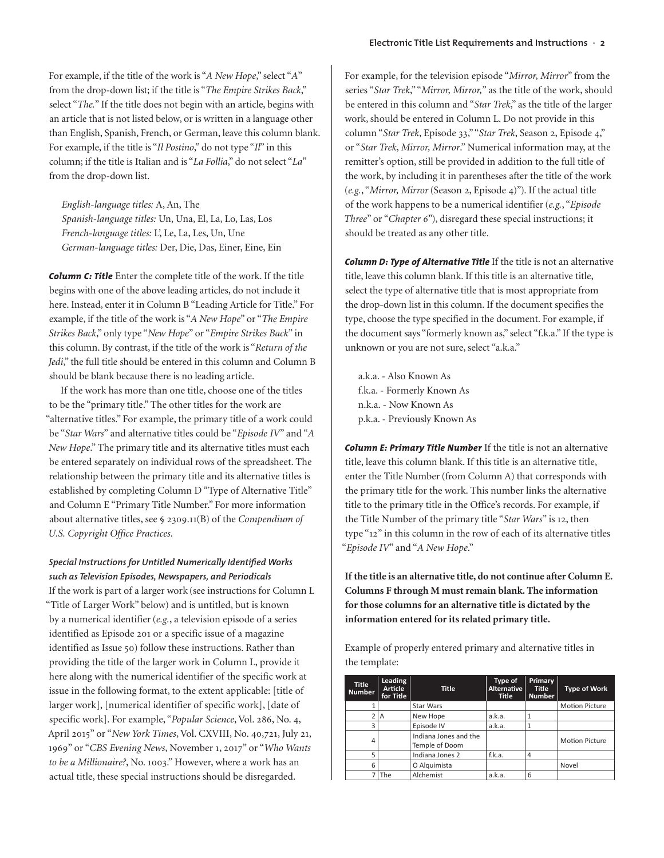For example, if the title of the work is "*A New Hope*," select "*A*" from the drop-down list; if the title is "*The Empire Strikes Back*," select "*The.*" If the title does not begin with an article, begins with an article that is not listed below, or is written in a language other than English, Spanish, French, or German, leave this column blank. For example, if the title is "*Il Postino*," do not type "*Il*" in this column; if the title is Italian and is "*La Follia*," do not select "*La*" from the drop-down list.

*English-language titles:* A, An, The *Spanish-language titles:* Un, Una, El, La, Lo, Las, Los *French-language titles:* L', Le, La, Les, Un, Une *German-language titles:* Der, Die, Das, Einer, Eine, Ein

*Column C: Title* Enter the complete title of the work. If the title begins with one of the above leading articles, do not include it here. Instead, enter it in Column B "Leading Article for Title." For example, if the title of the work is "*A New Hope*" or "*The Empire Strikes Back*," only type "*New Hope*" or "*Empire Strikes Back*" in this column. By contrast, if the title of the work is "*Return of the Jedi*," the full title should be entered in this column and Column B should be blank because there is no leading article.

If the work has more than one title, choose one of the titles to be the "primary title." The other titles for the work are "alternative titles." For example, the primary title of a work could be "*Star Wars*" and alternative titles could be "*Episode IV*" and "*A New Hope*." The primary title and its alternative titles must each be entered separately on individual rows of the spreadsheet. The relationship between the primary title and its alternative titles is established by completing Column D "Type of Alternative Title" and Column E "Primary Title Number." For more information about alternative titles, see [§ 2309.11\(B\)](https://www.copyright.gov/comp3/chap2300/ch2300-recordation.pdf) of the *Compendium of U.S. Copyright Office Practices*.

## *Special Instructions for Untitled Numerically Identified Works such as Television Episodes, Newspapers, and Periodicals*

If the work is part of a larger work (see instructions for Column L "Title of Larger Work" below) and is untitled, but is known by a numerical identifier (*e.g.*, a television episode of a series identified as Episode 201 or a specific issue of a magazine identified as Issue 50) follow these instructions. Rather than providing the title of the larger work in Column L, provide it here along with the numerical identifier of the specific work at issue in the following format, to the extent applicable: [title of larger work], [numerical identifier of specific work], [date of specific work]. For example, "*Popular Science*, Vol. 286, No. 4, April 2015" or "*New York Times*, Vol. CXVIII, No. 40,721, July 21, 1969" or "*CBS Evening News*, November 1, 2017" or "*Who Wants to be a Millionaire?*, No. 1003." However, where a work has an actual title, these special instructions should be disregarded.

For example, for the television episode "*Mirror, Mirror*" from the series "*Star Trek*," "*Mirror, Mirror,*" as the title of the work, should be entered in this column and "*Star Trek*," as the title of the larger work, should be entered in Column L. Do not provide in this column "*Star Trek*, Episode 33," "*Star Trek*, Season 2, Episode 4," or "*Star Trek*, *Mirror, Mirror*." Numerical information may, at the remitter's option, still be provided in addition to the full title of the work, by including it in parentheses after the title of the work (*e.g.*, "*Mirror, Mirror* (Season 2, Episode 4)"). If the actual title of the work happens to be a numerical identifier (*e.g.*, "*Episode Three*" or "*Chapter 6*"), disregard these special instructions; it should be treated as any other title.

*Column D: Type of Alternative Title* If the title is not an alternative title, leave this column blank. If this title is an alternative title, select the type of alternative title that is most appropriate from the drop-down list in this column. If the document specifies the type, choose the type specified in the document. For example, if the document says "formerly known as," select "f.k.a." If the type is unknown or you are not sure, select "a.k.a."

a.k.a. - Also Known As f.k.a. - Formerly Known As n.k.a. - Now Known As p.k.a. - Previously Known As

*Column E: Primary Title Number* If the title is not an alternative title, leave this column blank. If this title is an alternative title, enter the Title Number (from Column A) that corresponds with the primary title for the work. This number links the alternative title to the primary title in the Office's records. For example, if the Title Number of the primary title "*Star Wars*" is 12, then type "12" in this column in the row of each of its alternative titles "*Episode IV*" and "*A New Hope*."

**If the title is an alternative title, do not continue after Column E. Columns F through M must remain blank. The information for those columns for an alternative title is dictated by the information entered for its related primary title.**

Example of properly entered primary and alternative titles in the template:

| <b>Title</b><br><b>Number</b> | Leading<br><b>Article</b><br>for Title | <b>Title</b>                            | Type of<br>Alternative<br><b>Title</b> | Primary<br><b>Title</b><br><b>Number</b> | <b>Type of Work</b>   |
|-------------------------------|----------------------------------------|-----------------------------------------|----------------------------------------|------------------------------------------|-----------------------|
|                               |                                        | Star Wars                               |                                        |                                          | <b>Motion Picture</b> |
| $\overline{2}$                | A                                      | New Hope                                | a.k.a.                                 |                                          |                       |
| 3                             |                                        | Episode IV                              | a.k.a.                                 |                                          |                       |
| 4                             |                                        | Indiana Jones and the<br>Temple of Doom |                                        |                                          | <b>Motion Picture</b> |
| 5                             |                                        | Indiana Jones 2                         | f.k.a.                                 | 4                                        |                       |
| 6                             |                                        | O Alguimista                            |                                        |                                          | Novel                 |
|                               | The                                    | Alchemist                               | a.k.a.                                 | 6                                        |                       |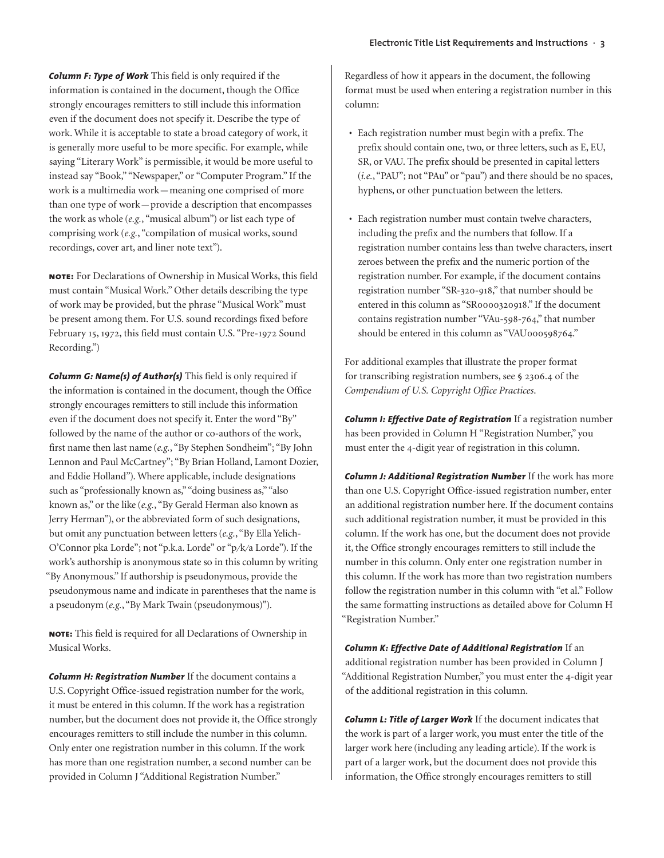*Column F: Type of Work* This field is only required if the information is contained in the document, though the Office strongly encourages remitters to still include this information even if the document does not specify it. Describe the type of work. While it is acceptable to state a broad category of work, it is generally more useful to be more specific. For example, while saying "Literary Work" is permissible, it would be more useful to instead say "Book," "Newspaper," or "Computer Program." If the work is a multimedia work—meaning one comprised of more than one type of work—provide a description that encompasses the work as whole (*e.g.*, "musical album") or list each type of comprising work (*e.g.*, "compilation of musical works, sound recordings, cover art, and liner note text").

**note:** For Declarations of Ownership in Musical Works, this field must contain "Musical Work." Other details describing the type of work may be provided, but the phrase "Musical Work" must be present among them. For U.S. sound recordings fixed before February 15, 1972, this field must contain U.S. "Pre-1972 Sound Recording.")

*Column G: Name(s) of Author(s)* This field is only required if the information is contained in the document, though the Office strongly encourages remitters to still include this information even if the document does not specify it. Enter the word "By" followed by the name of the author or co-authors of the work, first name then last name (*e.g.*, "By Stephen Sondheim"; "By John Lennon and Paul McCartney"; "By Brian Holland, Lamont Dozier, and Eddie Holland"). Where applicable, include designations such as "professionally known as," "doing business as," "also known as," or the like (*e.g.*, "By Gerald Herman also known as Jerry Herman"), or the abbreviated form of such designations, but omit any punctuation between letters (*e.g.*, "By Ella Yelich-O'Connor pka Lorde"; not "p.k.a. Lorde" or "p/k/a Lorde"). If the work's authorship is anonymous state so in this column by writing "By Anonymous." If authorship is pseudonymous, provide the pseudonymous name and indicate in parentheses that the name is a pseudonym (*e.g.*, "By Mark Twain (pseudonymous)").

**note:** This field is required for all Declarations of Ownership in Musical Works.

*Column H: Registration Number* If the document contains a U.S. Copyright Office-issued registration number for the work, it must be entered in this column. If the work has a registration number, but the document does not provide it, the Office strongly encourages remitters to still include the number in this column. Only enter one registration number in this column. If the work has more than one registration number, a second number can be provided in Column J "Additional Registration Number."

Regardless of how it appears in the document, the following format must be used when entering a registration number in this column:

- Each registration number must begin with a prefix. The prefix should contain one, two, or three letters, such as E, EU, SR, or VAU. The prefix should be presented in capital letters (*i.e.*, "PAU"; not "PAu" or "pau") and there should be no spaces, hyphens, or other punctuation between the letters.
- Each registration number must contain twelve characters, including the prefix and the numbers that follow. If a registration number contains less than twelve characters, insert zeroes between the prefix and the numeric portion of the registration number. For example, if the document contains registration number "SR-320-918," that number should be entered in this column as "SR0000320918." If the document contains registration number "VAu-598-764," that number should be entered in this column as "VAU000598764."

For additional examples that illustrate the proper format for transcribing registration numbers, see [§ 2306.4](https://www.copyright.gov/comp3/chap2300/ch2300-recordation.pdf) of the *Compendium of U.S. Copyright Office Practices*.

*Column I: Effective Date of Registration* If a registration number has been provided in Column H "Registration Number," you must enter the 4-digit year of registration in this column.

*Column J: Additional Registration Number* If the work has more than one U.S. Copyright Office-issued registration number, enter an additional registration number here. If the document contains such additional registration number, it must be provided in this column. If the work has one, but the document does not provide it, the Office strongly encourages remitters to still include the number in this column. Only enter one registration number in this column. If the work has more than two registration numbers follow the registration number in this column with "et al." Follow the same formatting instructions as detailed above for Column H "Registration Number."

*Column K: Effective Date of Additional Registration* If an additional registration number has been provided in Column J "Additional Registration Number," you must enter the 4-digit year of the additional registration in this column.

*Column L: Title of Larger Work* If the document indicates that the work is part of a larger work, you must enter the title of the larger work here (including any leading article). If the work is part of a larger work, but the document does not provide this information, the Office strongly encourages remitters to still